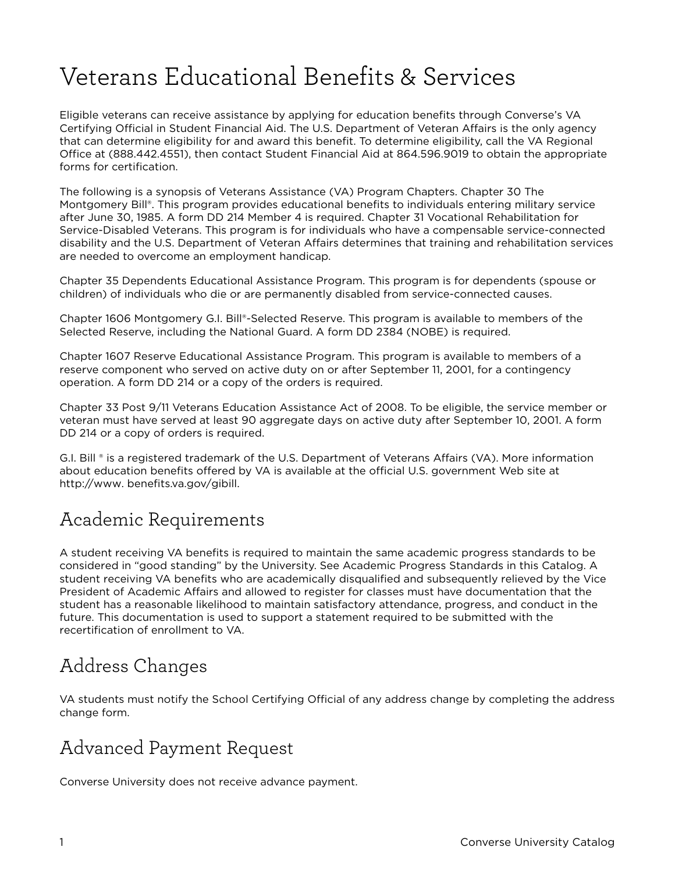# Veterans Educational Benefits & Services

Eligible veterans can receive assistance by applying for education benefits through Converse's VA Certifying Official in Student Financial Aid. The U.S. Department of Veteran Affairs is the only agency that can determine eligibility for and award this benefit. To determine eligibility, call the VA Regional Office at (888.442.4551), then contact Student Financial Aid at 864.596.9019 to obtain the appropriate forms for certification.

The following is a synopsis of Veterans Assistance (VA) Program Chapters. Chapter 30 The Montgomery Bill®. This program provides educational benefits to individuals entering military service after June 30, 1985. A form DD 214 Member 4 is required. Chapter 31 Vocational Rehabilitation for Service-Disabled Veterans. This program is for individuals who have a compensable service-connected disability and the U.S. Department of Veteran Affairs determines that training and rehabilitation services are needed to overcome an employment handicap.

Chapter 35 Dependents Educational Assistance Program. This program is for dependents (spouse or children) of individuals who die or are permanently disabled from service-connected causes.

Chapter 1606 Montgomery G.I. Bill®-Selected Reserve. This program is available to members of the Selected Reserve, including the National Guard. A form DD 2384 (NOBE) is required.

Chapter 1607 Reserve Educational Assistance Program. This program is available to members of a reserve component who served on active duty on or after September 11, 2001, for a contingency operation. A form DD 214 or a copy of the orders is required.

Chapter 33 Post 9/11 Veterans Education Assistance Act of 2008. To be eligible, the service member or veteran must have served at least 90 aggregate days on active duty after September 10, 2001. A form DD 214 or a copy of orders is required.

G.I. Bill ® is a registered trademark of the U.S. Department of Veterans Affairs (VA). More information about education benefits offered by VA is available at the official U.S. government Web site at http://www. benefits.va.gov/gibill.

#### Academic Requirements

A student receiving VA benefits is required to maintain the same academic progress standards to be considered in "good standing" by the University. See Academic Progress Standards in this Catalog. A student receiving VA benefits who are academically disqualified and subsequently relieved by the Vice President of Academic Affairs and allowed to register for classes must have documentation that the student has a reasonable likelihood to maintain satisfactory attendance, progress, and conduct in the future. This documentation is used to support a statement required to be submitted with the recertification of enrollment to VA.

### Address Changes

VA students must notify the School Certifying Official of any address change by completing the address change form.

### Advanced Payment Request

Converse University does not receive advance payment.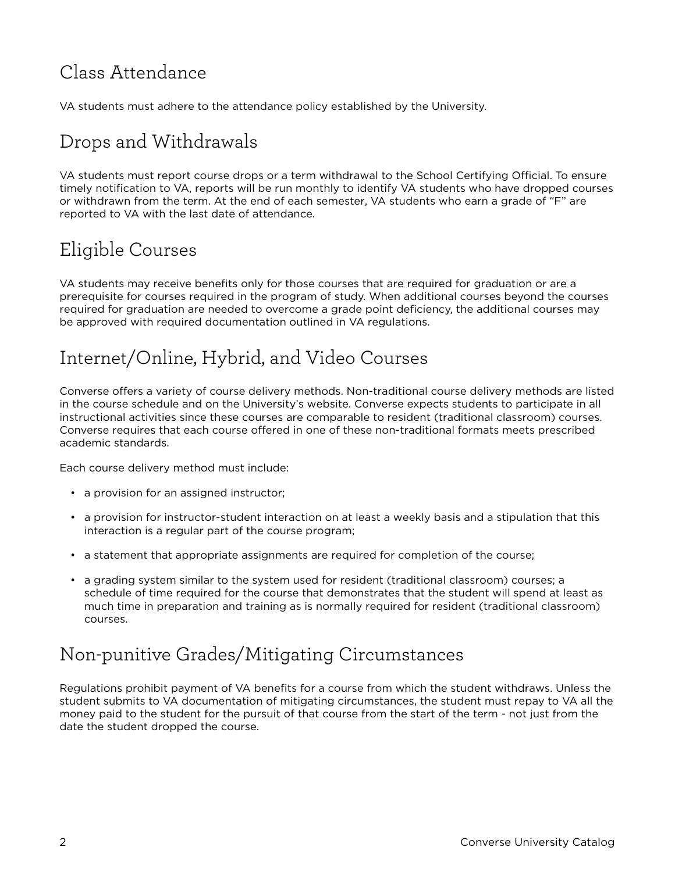## Class Attendance

VA students must adhere to the attendance policy established by the University.

# Drops and Withdrawals

VA students must report course drops or a term withdrawal to the School Certifying Official. To ensure timely notification to VA, reports will be run monthly to identify VA students who have dropped courses or withdrawn from the term. At the end of each semester, VA students who earn a grade of "F" are reported to VA with the last date of attendance.

# Eligible Courses

VA students may receive benefits only for those courses that are required for graduation or are a prerequisite for courses required in the program of study. When additional courses beyond the courses required for graduation are needed to overcome a grade point deficiency, the additional courses may be approved with required documentation outlined in VA regulations.

## Internet/Online, Hybrid, and Video Courses

Converse offers a variety of course delivery methods. Non-traditional course delivery methods are listed in the course schedule and on the University's website. Converse expects students to participate in all instructional activities since these courses are comparable to resident (traditional classroom) courses. Converse requires that each course offered in one of these non-traditional formats meets prescribed academic standards.

Each course delivery method must include:

- a provision for an assigned instructor;
- a provision for instructor-student interaction on at least a weekly basis and a stipulation that this interaction is a regular part of the course program;
- a statement that appropriate assignments are required for completion of the course;
- a grading system similar to the system used for resident (traditional classroom) courses; a schedule of time required for the course that demonstrates that the student will spend at least as much time in preparation and training as is normally required for resident (traditional classroom) courses.

### Non-punitive Grades/Mitigating Circumstances

Regulations prohibit payment of VA benefits for a course from which the student withdraws. Unless the student submits to VA documentation of mitigating circumstances, the student must repay to VA all the money paid to the student for the pursuit of that course from the start of the term - not just from the date the student dropped the course.